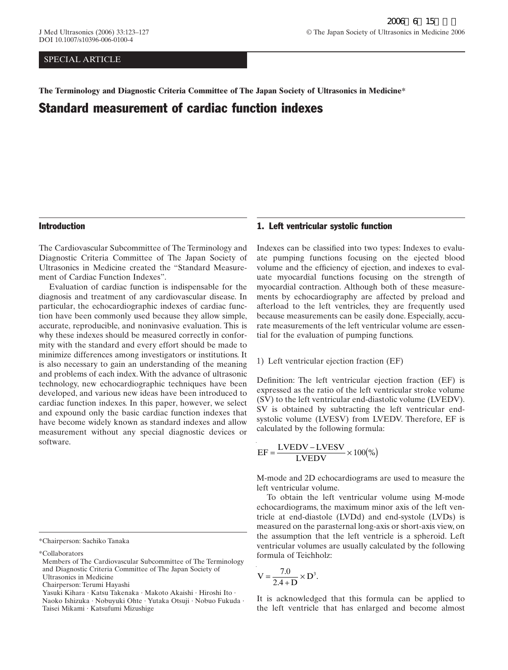**The Terminology and Diagnostic Criteria Committee of The Japan Society of Ultrasonics in Medicine\***

# Standard measurement of cardiac function indexes

## Introduction

The Cardiovascular Subcommittee of The Terminology and Diagnostic Criteria Committee of The Japan Society of Ultrasonics in Medicine created the "Standard Measurement of Cardiac Function Indexes".

Evaluation of cardiac function is indispensable for the diagnosis and treatment of any cardiovascular disease. In particular, the echocardiographic indexes of cardiac function have been commonly used because they allow simple, accurate, reproducible, and noninvasive evaluation. This is why these indexes should be measured correctly in conformity with the standard and every effort should be made to minimize differences among investigators or institutions. It is also necessary to gain an understanding of the meaning and problems of each index. With the advance of ultrasonic technology, new echocardiographic techniques have been developed, and various new ideas have been introduced to cardiac function indexes. In this paper, however, we select and expound only the basic cardiac function indexes that have become widely known as standard indexes and allow measurement without any special diagnostic devices or software.

\*Collaborators

Chairperson: Terumi Hayashi

Yasuki Kihara · Katsu Takenaka · Makoto Akaishi · Hiroshi Ito · Naoko Ishizuka · Nobuyuki Ohte · Yutaka Otsuji · Nobuo Fukuda · Taisei Mikami · Katsufumi Mizushige

#### 1. Left ventricular systolic function

Indexes can be classified into two types: Indexes to evaluate pumping functions focusing on the ejected blood volume and the efficiency of ejection, and indexes to evaluate myocardial functions focusing on the strength of myocardial contraction. Although both of these measurements by echocardiography are affected by preload and afterload to the left ventricles, they are frequently used because measurements can be easily done. Especially, accurate measurements of the left ventricular volume are essential for the evaluation of pumping functions.

#### 1) Left ventricular ejection fraction (EF)

Definition: The left ventricular ejection fraction (EF) is expressed as the ratio of the left ventricular stroke volume (SV) to the left ventricular end-diastolic volume (LVEDV). SV is obtained by subtracting the left ventricular endsystolic volume (LVESV) from LVEDV. Therefore, EF is calculated by the following formula:

$$
EF = \frac{LVEDV - LVESV}{LVEDV} \times 100\%
$$

M-mode and 2D echocardiograms are used to measure the left ventricular volume.

To obtain the left ventricular volume using M-mode echocardiograms, the maximum minor axis of the left ventricle at end-diastole (LVDd) and end-systole (LVDs) is measured on the parasternal long-axis or short-axis view, on the assumption that the left ventricle is a spheroid. Left ventricular volumes are usually calculated by the following formula of Teichholz:

$$
V = \frac{7.0}{2.4 + D} \times D^3.
$$

It is acknowledged that this formula can be applied to the left ventricle that has enlarged and become almost

<sup>\*</sup>Chairperson: Sachiko Tanaka

Members of The Cardiovascular Subcommittee of The Terminology and Diagnostic Criteria Committee of The Japan Society of Ultrasonics in Medicine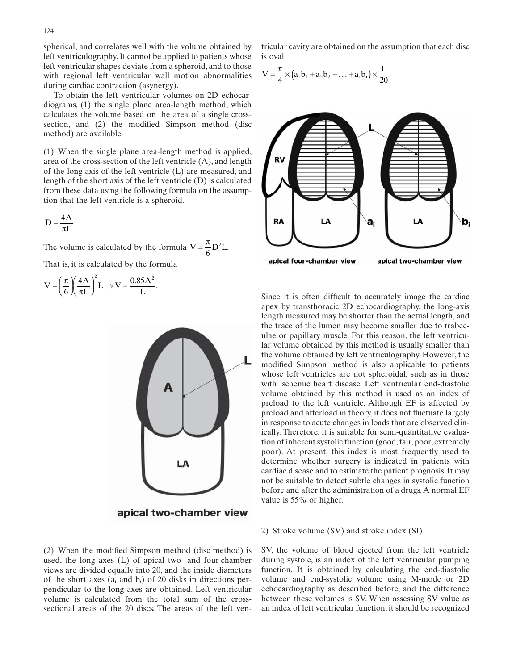spherical, and correlates well with the volume obtained by left ventriculography. It cannot be applied to patients whose left ventricular shapes deviate from a spheroid, and to those with regional left ventricular wall motion abnormalities during cardiac contraction (asynergy).

To obtain the left ventricular volumes on 2D echocardiograms, (1) the single plane area-length method, which calculates the volume based on the area of a single crosssection, and (2) the modified Simpson method (disc method) are available.

(1) When the single plane area-length method is applied, area of the cross-section of the left ventricle (A), and length of the long axis of the left ventricle (L) are measured, and length of the short axis of the left ventricle (D) is calculated from these data using the following formula on the assumption that the left ventricle is a spheroid.

$$
D=\frac{4A}{\pi L}
$$

The volume is calculated by the formula  $V = \frac{\pi}{6} D^2 L$ .

That is, it is calculated by the formula

$$
V = \left(\frac{\pi}{6}\right)\left(\frac{4A}{\pi L}\right)^2 L \rightarrow V = \frac{0.85A^2}{L}.
$$



apical two-chamber view

(2) When the modified Simpson method (disc method) is used, the long axes (L) of apical two- and four-chamber views are divided equally into 20, and the inside diameters of the short axes  $(a_i \text{ and } b_i)$  of 20 disks in directions perpendicular to the long axes are obtained. Left ventricular volume is calculated from the total sum of the crosssectional areas of the 20 discs. The areas of the left ventricular cavity are obtained on the assumption that each disc is oval.

$$
V = \frac{\pi}{4} \times (a_1b_1 + a_2b_2 + ... + a_ib_i) \times \frac{L}{20}
$$



Since it is often difficult to accurately image the cardiac apex by transthoracic 2D echocardiography, the long-axis length measured may be shorter than the actual length, and the trace of the lumen may become smaller due to trabeculae or papillary muscle. For this reason, the left ventricular volume obtained by this method is usually smaller than the volume obtained by left ventriculography. However, the modified Simpson method is also applicable to patients whose left ventricles are not spheroidal, such as in those with ischemic heart disease. Left ventricular end-diastolic volume obtained by this method is used as an index of preload to the left ventricle. Although EF is affected by preload and afterload in theory, it does not fluctuate largely in response to acute changes in loads that are observed clinically. Therefore, it is suitable for semi-quantitative evaluation of inherent systolic function (good, fair, poor, extremely poor). At present, this index is most frequently used to determine whether surgery is indicated in patients with cardiac disease and to estimate the patient prognosis. It may not be suitable to detect subtle changes in systolic function before and after the administration of a drugs. A normal EF value is 55% or higher.

### 2) Stroke volume (SV) and stroke index (SI)

SV, the volume of blood ejected from the left ventricle during systole, is an index of the left ventricular pumping function. It is obtained by calculating the end-diastolic volume and end-systolic volume using M-mode or 2D echocardiography as described before, and the difference between these volumes is SV. When assessing SV value as an index of left ventricular function, it should be recognized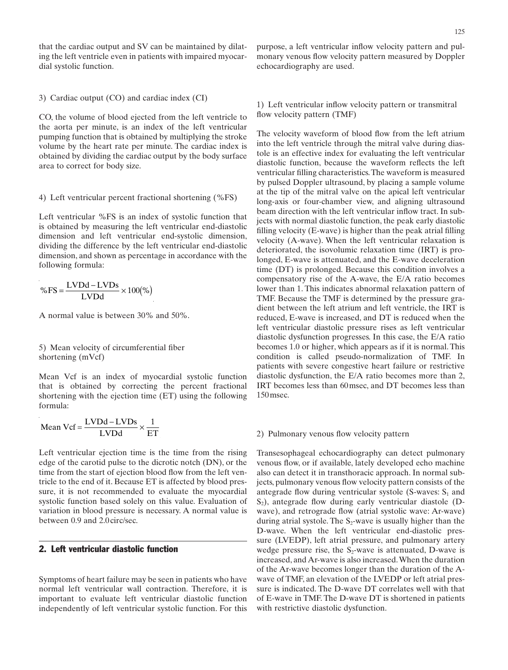that the cardiac output and SV can be maintained by dilating the left ventricle even in patients with impaired myocardial systolic function.

3) Cardiac output (CO) and cardiac index (CI)

CO, the volume of blood ejected from the left ventricle to the aorta per minute, is an index of the left ventricular pumping function that is obtained by multiplying the stroke volume by the heart rate per minute. The cardiac index is obtained by dividing the cardiac output by the body surface area to correct for body size.

### 4) Left ventricular percent fractional shortening (%FS)

Left ventricular %FS is an index of systolic function that is obtained by measuring the left ventricular end-diastolic dimension and left ventricular end-systolic dimension, dividing the difference by the left ventricular end-diastolic dimension, and shown as percentage in accordance with the following formula:

$$
\%FS = \frac{LVDd - LVDs}{LVDd} \times 100\%
$$

A normal value is between 30% and 50%.

## 5) Mean velocity of circumferential fiber shortening (mVcf)

Mean Vcf is an index of myocardial systolic function that is obtained by correcting the percent fractional shortening with the ejection time (ET) using the following formula:

Mean Vcf = 
$$
\frac{LVDd - LVDs}{LVDd} \times \frac{1}{ET}
$$

Left ventricular ejection time is the time from the rising edge of the carotid pulse to the dicrotic notch (DN), or the time from the start of ejection blood flow from the left ventricle to the end of it. Because ET is affected by blood pressure, it is not recommended to evaluate the myocardial systolic function based solely on this value. Evaluation of variation in blood pressure is necessary. A normal value is between 0.9 and 2.0circ/sec.

## 2. Left ventricular diastolic function

Symptoms of heart failure may be seen in patients who have normal left ventricular wall contraction. Therefore, it is important to evaluate left ventricular diastolic function independently of left ventricular systolic function. For this purpose, a left ventricular inflow velocity pattern and pulmonary venous flow velocity pattern measured by Doppler echocardiography are used.

1) Left ventricular inflow velocity pattern or transmitral flow velocity pattern (TMF)

The velocity waveform of blood flow from the left atrium into the left ventricle through the mitral valve during diastole is an effective index for evaluating the left ventricular diastolic function, because the waveform reflects the left ventricular filling characteristics.The waveform is measured by pulsed Doppler ultrasound, by placing a sample volume at the tip of the mitral valve on the apical left ventricular long-axis or four-chamber view, and aligning ultrasound beam direction with the left ventricular inflow tract. In subjects with normal diastolic function, the peak early diastolic filling velocity (E-wave) is higher than the peak atrial filling velocity (A-wave). When the left ventricular relaxation is deteriorated, the isovolumic relaxation time (IRT) is prolonged, E-wave is attenuated, and the E-wave deceleration time (DT) is prolonged. Because this condition involves a compensatory rise of the A-wave, the E/A ratio becomes lower than 1. This indicates abnormal relaxation pattern of TMF. Because the TMF is determined by the pressure gradient between the left atrium and left ventricle, the IRT is reduced, E-wave is increased, and DT is reduced when the left ventricular diastolic pressure rises as left ventricular diastolic dysfunction progresses. In this case, the E/A ratio becomes 1.0 or higher, which appears as if it is normal. This condition is called pseudo-normalization of TMF. In patients with severe congestive heart failure or restrictive diastolic dysfunction, the E/A ratio becomes more than 2, IRT becomes less than 60msec, and DT becomes less than 150msec.

#### 2) Pulmonary venous flow velocity pattern

Transesophageal echocardiography can detect pulmonary venous flow, or if available, lately developed echo machine also can detect it in transthoracic approach. In normal subjects, pulmonary venous flow velocity pattern consists of the antegrade flow during ventricular systole (S-waves:  $S_1$  and  $S_2$ ), antegrade flow during early ventricular diastole (Dwave), and retrograde flow (atrial systolic wave: Ar-wave) during atrial systole. The  $S_2$ -wave is usually higher than the D-wave. When the left ventricular end-diastolic pressure (LVEDP), left atrial pressure, and pulmonary artery wedge pressure rise, the  $S_2$ -wave is attenuated, D-wave is increased, and Ar-wave is also increased.When the duration of the Ar-wave becomes longer than the duration of the Awave of TMF, an elevation of the LVEDP or left atrial pressure is indicated. The D-wave DT correlates well with that of E-wave in TMF. The D-wave DT is shortened in patients with restrictive diastolic dysfunction.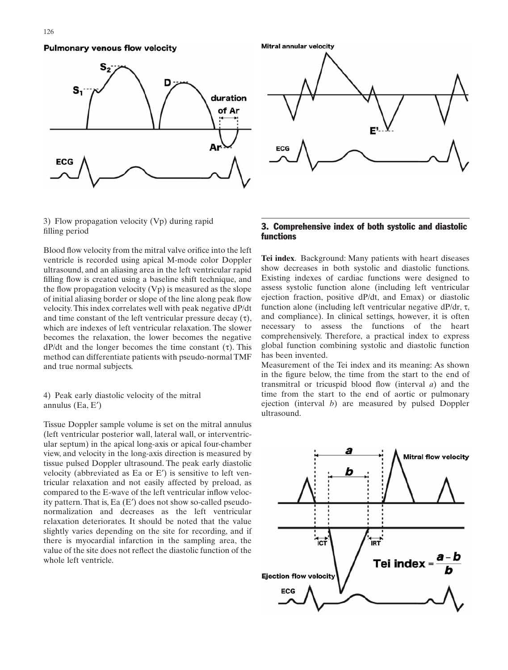## **Pulmonary venous flow velocity**





3) Flow propagation velocity (Vp) during rapid filling period

Blood flow velocity from the mitral valve orifice into the left ventricle is recorded using apical M-mode color Doppler ultrasound, and an aliasing area in the left ventricular rapid filling flow is created using a baseline shift technique, and the flow propagation velocity  $(Vp)$  is measured as the slope of initial aliasing border or slope of the line along peak flow velocity. This index correlates well with peak negative dP/dt and time constant of the left ventricular pressure decay  $(\tau)$ , which are indexes of left ventricular relaxation. The slower becomes the relaxation, the lower becomes the negative  $dP/dt$  and the longer becomes the time constant  $(\tau)$ . This method can differentiate patients with pseudo-normal TMF and true normal subjects.

4) Peak early diastolic velocity of the mitral annulus  $(Ea, E')$ 

Tissue Doppler sample volume is set on the mitral annulus (left ventricular posterior wall, lateral wall, or interventricular septum) in the apical long-axis or apical four-chamber view, and velocity in the long-axis direction is measured by tissue pulsed Doppler ultrasound. The peak early diastolic velocity (abbreviated as Ea or  $E'$ ) is sensitive to left ventricular relaxation and not easily affected by preload, as compared to the E-wave of the left ventricular inflow velocity pattern. That is, Ea  $(E')$  does not show so-called pseudonormalization and decreases as the left ventricular relaxation deteriorates. It should be noted that the value slightly varies depending on the site for recording, and if there is myocardial infarction in the sampling area, the value of the site does not reflect the diastolic function of the whole left ventricle.

## 3. Comprehensive index of both systolic and diastolic functions

**Tei index**. Background: Many patients with heart diseases show decreases in both systolic and diastolic functions. Existing indexes of cardiac functions were designed to assess systolic function alone (including left ventricular ejection fraction, positive dP/dt, and Emax) or diastolic function alone (including left ventricular negative dP/dr,  $\tau$ , and compliance). In clinical settings, however, it is often necessary to assess the functions of the heart comprehensively. Therefore, a practical index to express global function combining systolic and diastolic function has been invented.

Measurement of the Tei index and its meaning: As shown in the figure below, the time from the start to the end of transmitral or tricuspid blood flow (interval *a*) and the time from the start to the end of aortic or pulmonary ejection (interval *b*) are measured by pulsed Doppler ultrasound.